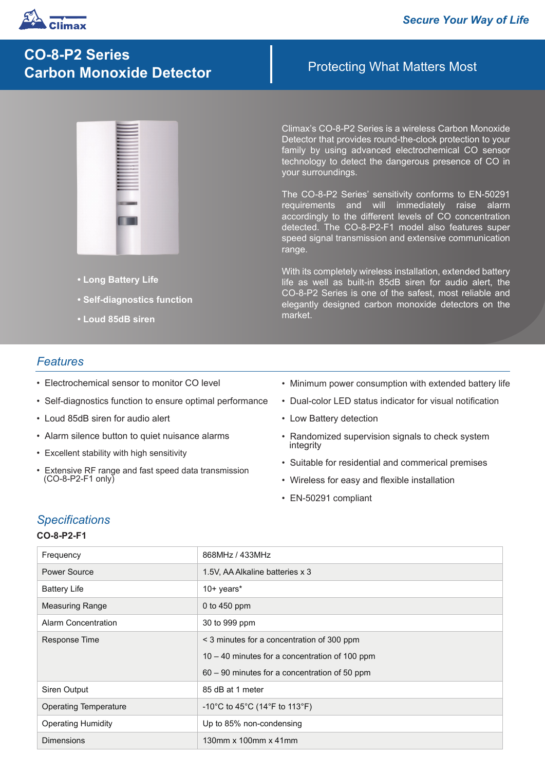

# **CO-8-P2 Series Carbon Monoxide Detector**

- **Long Battery Life**
- **Self-diagnostics function**
- **Loud 85dB siren**

## Protecting What Matters Most

Climax's CO-8-P2 Series is a wireless Carbon Monoxide Detector that provides round-the-clock protection to your family by using advanced electrochemical CO sensor technology to detect the dangerous presence of CO in your surroundings.

The CO-8-P2 Series' sensitivity conforms to EN-50291 requirements and will immediately raise alarm accordingly to the different levels of CO concentration detected. The CO-8-P2-F1 model also features super speed signal transmission and extensive communication range.

With its completely wireless installation, extended battery life as well as built-in 85dB siren for audio alert, the CO-8-P2 Series is one of the safest, most reliable and elegantly designed carbon monoxide detectors on the market.

## *Features*

- Electrochemical sensor to monitor CO level
- Self-diagnostics function to ensure optimal performance
- Loud 85dB siren for audio alert
- Alarm silence button to quiet nuisance alarms
- Excellent stability with high sensitivity
- Extensive RF range and fast speed data transmission (CO-8-P2-F1 only)
- Minimum power consumption with extended battery life
- Dual-color LED status indicator for visual notification
- Low Battery detection
- Randomized supervision signals to check system integrity
- Suitable for residential and commerical premises
- Wireless for easy and flexible installation
- EN-50291 compliant

## *Specifications*

#### **CO-8-P2-F1**

| Frequency                    | 868MHz / 433MHz                                  |
|------------------------------|--------------------------------------------------|
| Power Source                 | 1.5V, AA Alkaline batteries x 3                  |
| <b>Battery Life</b>          | $10+$ years*                                     |
| <b>Measuring Range</b>       | 0 to $450$ ppm                                   |
| Alarm Concentration          | 30 to 999 ppm                                    |
| Response Time                | < 3 minutes for a concentration of 300 ppm       |
|                              | $10 - 40$ minutes for a concentration of 100 ppm |
|                              | 60 - 90 minutes for a concentration of 50 ppm    |
| Siren Output                 | 85 dB at 1 meter                                 |
| <b>Operating Temperature</b> | -10°C to 45°C (14°F to 113°F)                    |
| <b>Operating Humidity</b>    | Up to 85% non-condensing                         |
| <b>Dimensions</b>            | 130mm x 100mm x 41mm                             |